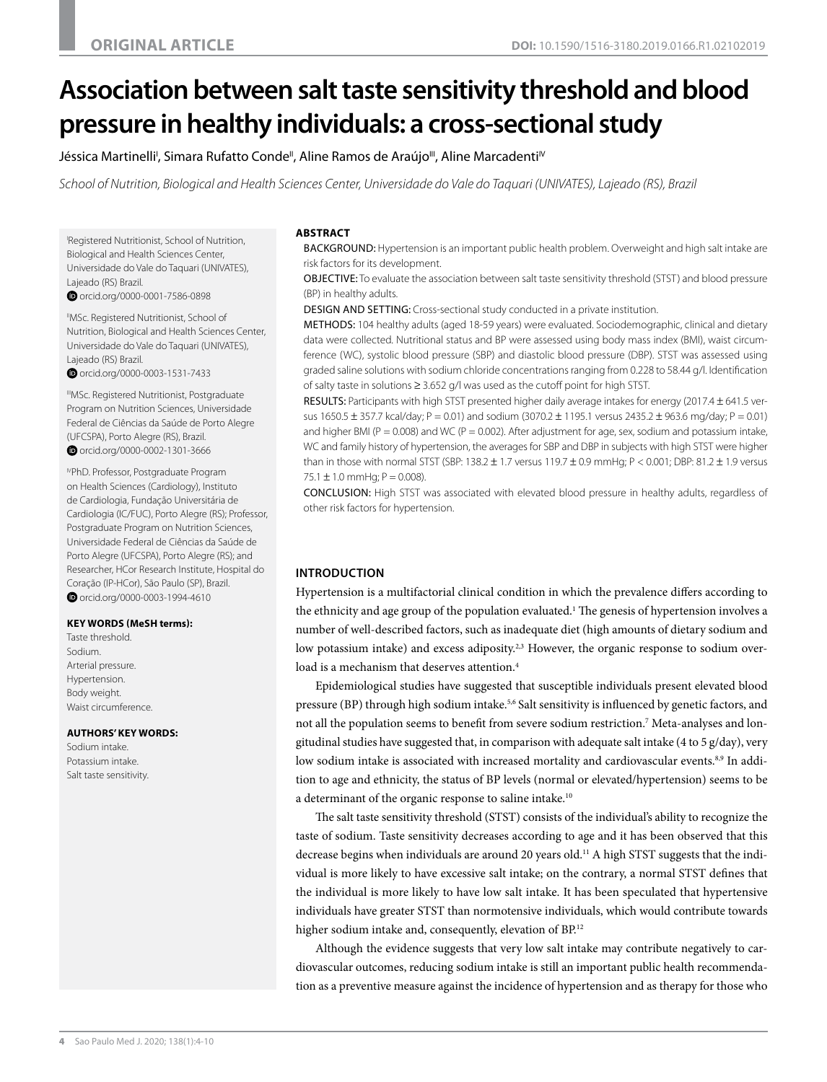# **Association between salt taste sensitivity threshold and blood pressure in healthy individuals: a cross-sectional study**

Jéssica Martinelli<sup>ı</sup>, Simara Rufatto Conde", Aline Ramos de Araújo''', Aline Marcadenti<sup>ıv</sup>

*School of Nutrition, Biological and Health Sciences Center, Universidade do Vale do Taquari (UNIVATES), Lajeado (RS), Brazil*

I Registered Nutritionist, School of Nutrition, Biological and Health Sciences Center, Universidade do Vale do Taquari (UNIVATES), Lajeado (RS) Brazil.

 [orcid.org/0000-0001-7586-0898](http://orcid.org/0000-0001-7586-0898)

<sup>"</sup>MSc. Registered Nutritionist, School of Nutrition, Biological and Health Sciences Center, Universidade do Vale do Taquari (UNIVATES), Lajeado (RS) Brazil.

 [orcid.org/0000-0003-1531-7433](http://orcid.org/0000-0003-1531-7433)

IIIMSc. Registered Nutritionist, Postgraduate Program on Nutrition Sciences, Universidade Federal de Ciências da Saúde de Porto Alegre (UFCSPA), Porto Alegre (RS), Brazil.  [orcid.org/0000-0002-1301-3666](http://orcid.org/0000-0002-1301-3666)

IVPhD. Professor, Postgraduate Program on Health Sciences (Cardiology), Instituto de Cardiologia, Fundação Universitária de Cardiologia (IC/FUC), Porto Alegre (RS); Professor, Postgraduate Program on Nutrition Sciences, Universidade Federal de Ciências da Saúde de Porto Alegre (UFCSPA), Porto Alegre (RS); and Researcher, HCor Research Institute, Hospital do Coração (IP-HCor), São Paulo (SP), Brazil. O [orcid.org/0000-0003-1994-4610](http://orcid.org/0000-0003-1994-4610)

#### **KEY WORDS (MeSH terms):**

Taste threshold. Sodium. Arterial pressure. Hypertension. Body weight. Waist circumference.

#### **AUTHORS' KEY WORDS:**

Sodium intake. Potassium intake. Salt taste sensitivity.

### **ABSTRACT**

BACKGROUND: Hypertension is an important public health problem. Overweight and high salt intake are risk factors for its development.

OBJECTIVE: To evaluate the association between salt taste sensitivity threshold (STST) and blood pressure (BP) in healthy adults.

DESIGN AND SETTING: Cross-sectional study conducted in a private institution.

METHODS: 104 healthy adults (aged 18-59 years) were evaluated. Sociodemographic, clinical and dietary data were collected. Nutritional status and BP were assessed using body mass index (BMI), waist circumference (WC), systolic blood pressure (SBP) and diastolic blood pressure (DBP). STST was assessed using graded saline solutions with sodium chloride concentrations ranging from 0.228 to 58.44 g/l. Identification of salty taste in solutions ≥ 3.652 g/l was used as the cutoff point for high STST.

RESULTS: Participants with high STST presented higher daily average intakes for energy (2017.4 ± 641.5 versus 1650.5  $\pm$  357.7 kcal/day; P = 0.01) and sodium (3070.2  $\pm$  1195.1 versus 2435.2  $\pm$  963.6 mg/day; P = 0.01) and higher BMI ( $P = 0.008$ ) and WC ( $P = 0.002$ ). After adjustment for age, sex, sodium and potassium intake, WC and family history of hypertension, the averages for SBP and DBP in subjects with high STST were higher than in those with normal STST (SBP: 138.2 ± 1.7 versus 119.7 ± 0.9 mmHg; P < 0.001; DBP: 81.2 ± 1.9 versus  $75.1 \pm 1.0$  mmHg;  $P = 0.008$ ).

CONCLUSION: High STST was associated with elevated blood pressure in healthy adults, regardless of other risk factors for hypertension.

## **INTRODUCTION**

Hypertension is a multifactorial clinical condition in which the prevalence differs according to the ethnicity and age group of the population evaluated.<sup>1</sup> The genesis of hypertension involves a number of well-described factors, such as inadequate diet (high amounts of dietary sodium and low potassium intake) and excess adiposity.<sup>2,3</sup> However, the organic response to sodium overload is a mechanism that deserves attention.<sup>4</sup>

Epidemiological studies have suggested that susceptible individuals present elevated blood pressure (BP) through high sodium intake.5,6 Salt sensitivity is influenced by genetic factors, and not all the population seems to benefit from severe sodium restriction.<sup>7</sup> Meta-analyses and longitudinal studies have suggested that, in comparison with adequate salt intake (4 to 5 g/day), very low sodium intake is associated with increased mortality and cardiovascular events.<sup>8,9</sup> In addition to age and ethnicity, the status of BP levels (normal or elevated/hypertension) seems to be a determinant of the organic response to saline intake.10

The salt taste sensitivity threshold (STST) consists of the individual's ability to recognize the taste of sodium. Taste sensitivity decreases according to age and it has been observed that this decrease begins when individuals are around 20 years old.11 A high STST suggests that the individual is more likely to have excessive salt intake; on the contrary, a normal STST defines that the individual is more likely to have low salt intake. It has been speculated that hypertensive individuals have greater STST than normotensive individuals, which would contribute towards higher sodium intake and, consequently, elevation of BP.<sup>12</sup>

Although the evidence suggests that very low salt intake may contribute negatively to cardiovascular outcomes, reducing sodium intake is still an important public health recommendation as a preventive measure against the incidence of hypertension and as therapy for those who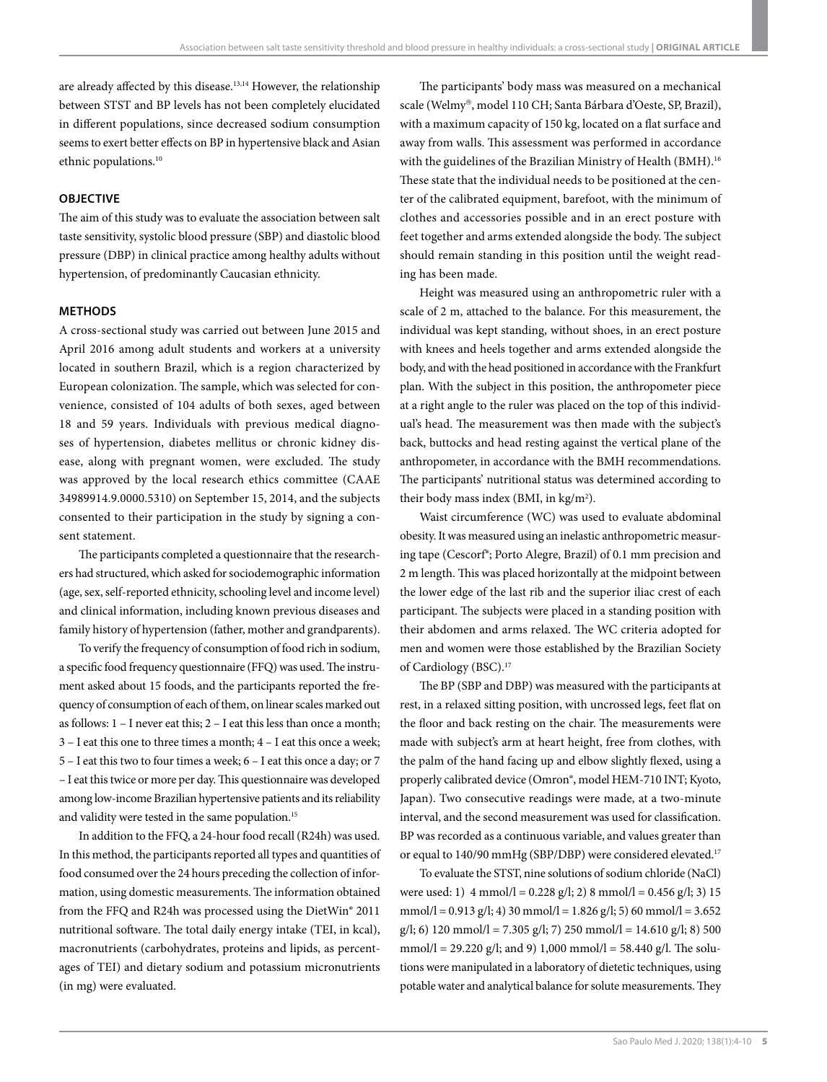are already affected by this disease.<sup>13,14</sup> However, the relationship between STST and BP levels has not been completely elucidated in different populations, since decreased sodium consumption seems to exert better effects on BP in hypertensive black and Asian ethnic populations.10

## **OBJECTIVE**

The aim of this study was to evaluate the association between salt taste sensitivity, systolic blood pressure (SBP) and diastolic blood pressure (DBP) in clinical practice among healthy adults without hypertension, of predominantly Caucasian ethnicity.

## **METHODS**

A cross-sectional study was carried out between June 2015 and April 2016 among adult students and workers at a university located in southern Brazil, which is a region characterized by European colonization. The sample, which was selected for convenience, consisted of 104 adults of both sexes, aged between 18 and 59 years. Individuals with previous medical diagnoses of hypertension, diabetes mellitus or chronic kidney disease, along with pregnant women, were excluded. The study was approved by the local research ethics committee (CAAE 34989914.9.0000.5310) on September 15, 2014, and the subjects consented to their participation in the study by signing a consent statement.

The participants completed a questionnaire that the researchers had structured, which asked for sociodemographic information (age, sex, self-reported ethnicity, schooling level and income level) and clinical information, including known previous diseases and family history of hypertension (father, mother and grandparents).

To verify the frequency of consumption of food rich in sodium, a specific food frequency questionnaire (FFQ) was used. The instrument asked about 15 foods, and the participants reported the frequency of consumption of each of them, on linear scales marked out as follows: 1 – I never eat this; 2 – I eat this less than once a month; 3 – I eat this one to three times a month; 4 – I eat this once a week; 5 – I eat this two to four times a week; 6 – I eat this once a day; or 7 – I eat this twice or more per day. This questionnaire was developed among low-income Brazilian hypertensive patients and its reliability and validity were tested in the same population.<sup>15</sup>

In addition to the FFQ, a 24-hour food recall (R24h) was used. In this method, the participants reported all types and quantities of food consumed over the 24 hours preceding the collection of information, using domestic measurements. The information obtained from the FFQ and R24h was processed using the DietWin® 2011 nutritional software. The total daily energy intake (TEI, in kcal), macronutrients (carbohydrates, proteins and lipids, as percentages of TEI) and dietary sodium and potassium micronutrients (in mg) were evaluated.

The participants' body mass was measured on a mechanical scale (Welmy®, model 110 CH; Santa Bárbara d'Oeste, SP, Brazil), with a maximum capacity of 150 kg, located on a flat surface and away from walls. This assessment was performed in accordance with the guidelines of the Brazilian Ministry of Health (BMH).16 These state that the individual needs to be positioned at the center of the calibrated equipment, barefoot, with the minimum of clothes and accessories possible and in an erect posture with feet together and arms extended alongside the body. The subject should remain standing in this position until the weight reading has been made.

Height was measured using an anthropometric ruler with a scale of 2 m, attached to the balance. For this measurement, the individual was kept standing, without shoes, in an erect posture with knees and heels together and arms extended alongside the body, and with the head positioned in accordance with the Frankfurt plan. With the subject in this position, the anthropometer piece at a right angle to the ruler was placed on the top of this individual's head. The measurement was then made with the subject's back, buttocks and head resting against the vertical plane of the anthropometer, in accordance with the BMH recommendations. The participants' nutritional status was determined according to their body mass index (BMI, in  $\text{kg/m}^2$ ).

Waist circumference (WC) was used to evaluate abdominal obesity. It was measured using an inelastic anthropometric measuring tape (Cescorf®; Porto Alegre, Brazil) of 0.1 mm precision and 2 m length. This was placed horizontally at the midpoint between the lower edge of the last rib and the superior iliac crest of each participant. The subjects were placed in a standing position with their abdomen and arms relaxed. The WC criteria adopted for men and women were those established by the Brazilian Society of Cardiology (BSC).17

The BP (SBP and DBP) was measured with the participants at rest, in a relaxed sitting position, with uncrossed legs, feet flat on the floor and back resting on the chair. The measurements were made with subject's arm at heart height, free from clothes, with the palm of the hand facing up and elbow slightly flexed, using a properly calibrated device (Omron®, model HEM-710 INT; Kyoto, Japan). Two consecutive readings were made, at a two-minute interval, and the second measurement was used for classification. BP was recorded as a continuous variable, and values greater than or equal to 140/90 mmHg (SBP/DBP) were considered elevated.17

To evaluate the STST, nine solutions of sodium chloride (NaCl) were used: 1)  $4 \text{ mmol/l} = 0.228 \text{ g/l}$ ; 2)  $8 \text{ mmol/l} = 0.456 \text{ g/l}$ ; 3) 15 mmol/l =  $0.913$  g/l; 4) 30 mmol/l =  $1.826$  g/l; 5) 60 mmol/l =  $3.652$  $g/l$ ; 6) 120 mmol/l = 7.305 g/l; 7) 250 mmol/l = 14.610 g/l; 8) 500 mmol/l = 29.220 g/l; and 9) 1,000 mmol/l = 58.440 g/l. The solutions were manipulated in a laboratory of dietetic techniques, using potable water and analytical balance for solute measurements. They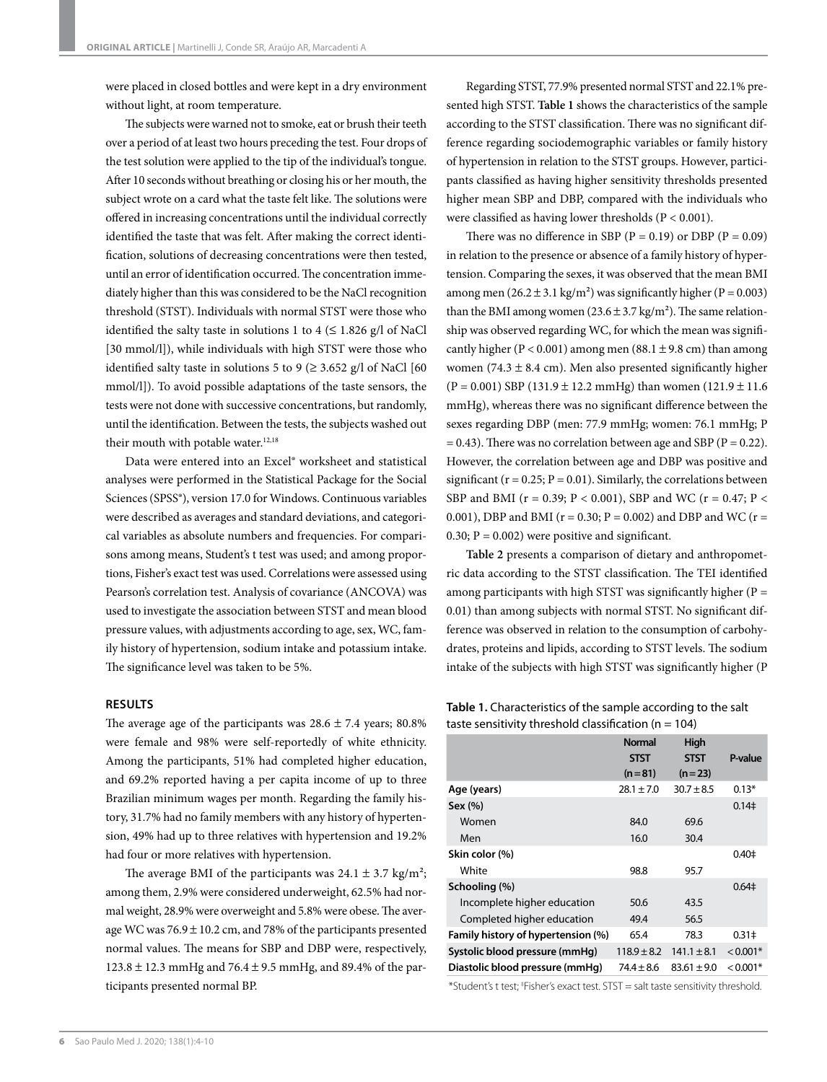were placed in closed bottles and were kept in a dry environment without light, at room temperature.

The subjects were warned not to smoke, eat or brush their teeth over a period of at least two hours preceding the test. Four drops of the test solution were applied to the tip of the individual's tongue. After 10 seconds without breathing or closing his or her mouth, the subject wrote on a card what the taste felt like. The solutions were offered in increasing concentrations until the individual correctly identified the taste that was felt. After making the correct identification, solutions of decreasing concentrations were then tested, until an error of identification occurred. The concentration immediately higher than this was considered to be the NaCl recognition threshold (STST). Individuals with normal STST were those who identified the salty taste in solutions 1 to 4 ( $\leq$  1.826 g/l of NaCl [30 mmol/l]), while individuals with high STST were those who identified salty taste in solutions 5 to 9 ( $\geq$  3.652 g/l of NaCl [60] mmol/l]). To avoid possible adaptations of the taste sensors, the tests were not done with successive concentrations, but randomly, until the identification. Between the tests, the subjects washed out their mouth with potable water.<sup>12,18</sup>

Data were entered into an Excel® worksheet and statistical analyses were performed in the Statistical Package for the Social Sciences (SPSS®), version 17.0 for Windows. Continuous variables were described as averages and standard deviations, and categorical variables as absolute numbers and frequencies. For comparisons among means, Student's t test was used; and among proportions, Fisher's exact test was used. Correlations were assessed using Pearson's correlation test. Analysis of covariance (ANCOVA) was used to investigate the association between STST and mean blood pressure values, with adjustments according to age, sex, WC, family history of hypertension, sodium intake and potassium intake. The significance level was taken to be 5%.

# **RESULTS**

The average age of the participants was  $28.6 \pm 7.4$  years; 80.8% were female and 98% were self-reportedly of white ethnicity. Among the participants, 51% had completed higher education, and 69.2% reported having a per capita income of up to three Brazilian minimum wages per month. Regarding the family history, 31.7% had no family members with any history of hypertension, 49% had up to three relatives with hypertension and 19.2% had four or more relatives with hypertension.

The average BMI of the participants was  $24.1 \pm 3.7$  kg/m<sup>2</sup>; among them, 2.9% were considered underweight, 62.5% had normal weight, 28.9% were overweight and 5.8% were obese. The average WC was  $76.9 \pm 10.2$  cm, and 78% of the participants presented normal values. The means for SBP and DBP were, respectively, 123.8 ± 12.3 mmHg and 76.4 ± 9.5 mmHg, and 89.4% of the participants presented normal BP.

Regarding STST, 77.9% presented normal STST and 22.1% presented high STST. **Table 1** shows the characteristics of the sample according to the STST classification. There was no significant difference regarding sociodemographic variables or family history of hypertension in relation to the STST groups. However, participants classified as having higher sensitivity thresholds presented higher mean SBP and DBP, compared with the individuals who were classified as having lower thresholds (P < 0.001).

There was no difference in SBP ( $P = 0.19$ ) or DBP ( $P = 0.09$ ) in relation to the presence or absence of a family history of hypertension. Comparing the sexes, it was observed that the mean BMI among men  $(26.2 \pm 3.1 \text{ kg/m}^2)$  was significantly higher (P = 0.003) than the BMI among women  $(23.6 \pm 3.7 \text{ kg/m}^2)$ . The same relationship was observed regarding WC, for which the mean was significantly higher ( $P < 0.001$ ) among men (88.1 ± 9.8 cm) than among women (74.3  $\pm$  8.4 cm). Men also presented significantly higher  $(P = 0.001)$  SBP (131.9 ± 12.2 mmHg) than women (121.9 ± 11.6 mmHg), whereas there was no significant difference between the sexes regarding DBP (men: 77.9 mmHg; women: 76.1 mmHg; P  $= 0.43$ ). There was no correlation between age and SBP (P  $= 0.22$ ). However, the correlation between age and DBP was positive and significant ( $r = 0.25$ ;  $P = 0.01$ ). Similarly, the correlations between SBP and BMI ( $r = 0.39$ ;  $P < 0.001$ ), SBP and WC ( $r = 0.47$ ;  $P <$ 0.001), DBP and BMI ( $r = 0.30$ ;  $P = 0.002$ ) and DBP and WC ( $r =$ 0.30;  $P = 0.002$ ) were positive and significant.

**Table 2** presents a comparison of dietary and anthropometric data according to the STST classification. The TEI identified among participants with high STST was significantly higher ( $P =$ 0.01) than among subjects with normal STST. No significant difference was observed in relation to the consumption of carbohydrates, proteins and lipids, according to STST levels. The sodium intake of the subjects with high STST was significantly higher (P

**Table 1.** Characteristics of the sample according to the salt taste sensitivity threshold classification ( $n = 104$ )

|                                    | <b>Normal</b><br><b>STST</b><br>$(n=81)$ | High<br><b>STST</b><br>$(n=23)$ | P-value       |
|------------------------------------|------------------------------------------|---------------------------------|---------------|
| Age (years)                        | $28.1 \pm 7.0$                           | $30.7 + 8.5$                    | $0.13*$       |
| Sex (%)                            |                                          |                                 | $0.14\dagger$ |
| Women                              | 84.0                                     | 69.6                            |               |
| Men                                | 16.0                                     | 30.4                            |               |
| Skin color (%)                     |                                          |                                 | $0.40 \pm$    |
| White                              | 98.8                                     | 95.7                            |               |
| Schooling (%)                      |                                          |                                 | $0.64 \pm$    |
| Incomplete higher education        | 50.6                                     | 43.5                            |               |
| Completed higher education         | 49.4                                     | 56.5                            |               |
| Family history of hypertension (%) | 65.4                                     | 78.3                            | $0.31 \pm$    |
| Systolic blood pressure (mmHg)     | $118.9 \pm 8.2$                          | $141.1 \pm 8.1$                 | $< 0.001*$    |
| Diastolic blood pressure (mmHq)    | $74.4 \pm 8.6$                           | $83.61 \pm 9.0$                 | $< 0.001*$    |

\*Student's t test; ‡ Fisher's exact test. STST = salt taste sensitivity threshold.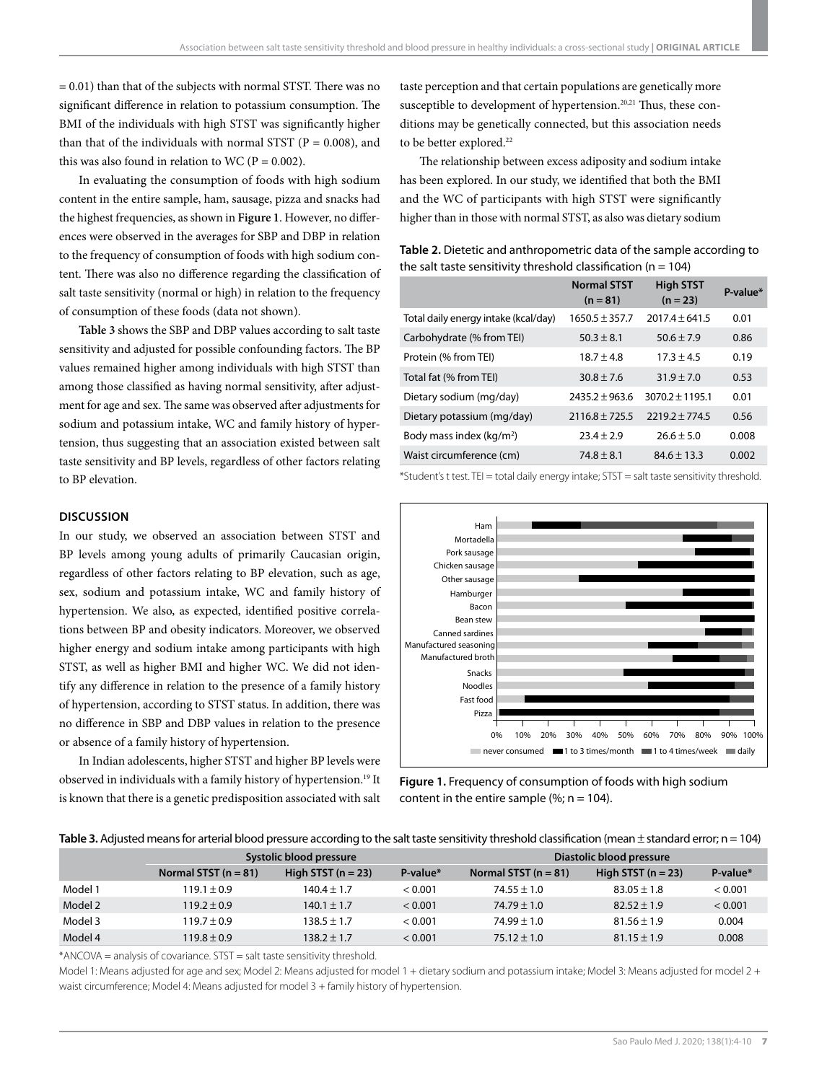$= 0.01$ ) than that of the subjects with normal STST. There was no significant difference in relation to potassium consumption. The BMI of the individuals with high STST was significantly higher than that of the individuals with normal STST ( $P = 0.008$ ), and this was also found in relation to WC ( $P = 0.002$ ).

In evaluating the consumption of foods with high sodium content in the entire sample, ham, sausage, pizza and snacks had the highest frequencies, as shown in **Figure 1**. However, no differences were observed in the averages for SBP and DBP in relation to the frequency of consumption of foods with high sodium content. There was also no difference regarding the classification of salt taste sensitivity (normal or high) in relation to the frequency of consumption of these foods (data not shown).

**Table 3** shows the SBP and DBP values according to salt taste sensitivity and adjusted for possible confounding factors. The BP values remained higher among individuals with high STST than among those classified as having normal sensitivity, after adjustment for age and sex. The same was observed after adjustments for sodium and potassium intake, WC and family history of hypertension, thus suggesting that an association existed between salt taste sensitivity and BP levels, regardless of other factors relating to BP elevation.

### **DISCUSSION**

In our study, we observed an association between STST and BP levels among young adults of primarily Caucasian origin, regardless of other factors relating to BP elevation, such as age, sex, sodium and potassium intake, WC and family history of hypertension. We also, as expected, identified positive correlations between BP and obesity indicators. Moreover, we observed higher energy and sodium intake among participants with high STST, as well as higher BMI and higher WC. We did not identify any difference in relation to the presence of a family history of hypertension, according to STST status. In addition, there was no difference in SBP and DBP values in relation to the presence or absence of a family history of hypertension.

In Indian adolescents, higher STST and higher BP levels were observed in individuals with a family history of hypertension.19 It is known that there is a genetic predisposition associated with salt taste perception and that certain populations are genetically more susceptible to development of hypertension.<sup>20,21</sup> Thus, these conditions may be genetically connected, but this association needs to be better explored.<sup>22</sup>

The relationship between excess adiposity and sodium intake has been explored. In our study, we identified that both the BMI and the WC of participants with high STST were significantly higher than in those with normal STST, as also was dietary sodium

**Table 2.** Dietetic and anthropometric data of the sample according to the salt taste sensitivity threshold classification ( $n = 104$ )

|                                      | <b>Normal STST</b><br>$(n = 81)$ | <b>High STST</b><br>$(n = 23)$ | $P-value*$ |
|--------------------------------------|----------------------------------|--------------------------------|------------|
| Total daily energy intake (kcal/day) | $1650.5 \pm 357.7$               | $2017.4 \pm 641.5$             | 0.01       |
| Carbohydrate (% from TEI)            | $50.3 \pm 8.1$                   | $50.6 \pm 7.9$                 | 0.86       |
| Protein (% from TEI)                 | $18.7 \pm 4.8$                   | $17.3 \pm 4.5$                 | 0.19       |
| Total fat (% from TEI)               | $30.8 \pm 7.6$                   | $31.9 \pm 7.0$                 | 0.53       |
| Dietary sodium (mg/day)              | $2435.2 + 963.6$                 | $3070.2 \pm 1195.1$            | 0.01       |
| Dietary potassium (mg/day)           | $2116.8 \pm 725.5$               | $2219.2 \pm 774.5$             | 0.56       |
| Body mass index (kg/m <sup>2</sup> ) | $23.4 \pm 2.9$                   | $26.6 \pm 5.0$                 | 0.008      |
| Waist circumference (cm)             | $74.8 \pm 8.1$                   | $84.6 \pm 13.3$                | 0.002      |

\*Student's t test. TEI = total daily energy intake; STST = salt taste sensitivity threshold.



**Figure 1.** Frequency of consumption of foods with high sodium content in the entire sample (%;  $n = 104$ ).

|  | Table 3. Adiusted means for arterial blood pressure according to the salt taste sensitivity threshold classification (mean $\pm$ standard error: n = 104) |
|--|-----------------------------------------------------------------------------------------------------------------------------------------------------------|
|  |                                                                                                                                                           |

|         | Systolic blood pressure |                      |          | Diastolic blood pressure |                      |          |
|---------|-------------------------|----------------------|----------|--------------------------|----------------------|----------|
|         | Normal STST $(n = 81)$  | High STST $(n = 23)$ | P-value* | Normal STST $(n = 81)$   | High STST $(n = 23)$ | P-value* |
| Model 1 | $119.1 \pm 0.9$         | $140.4 \pm 1.7$      | < 0.001  | $74.55 \pm 1.0$          | $83.05 \pm 1.8$      | < 0.001  |
| Model 2 | $119.2 \pm 0.9$         | $140.1 \pm 1.7$      | < 0.001  | $74.79 \pm 1.0$          | $82.52 \pm 1.9$      | < 0.001  |
| Model 3 | $119.7 \pm 0.9$         | $138.5 \pm 1.7$      | < 0.001  | $74.99 \pm 1.0$          | $81.56 \pm 1.9$      | 0.004    |
| Model 4 | $119.8 \pm 0.9$         | $138.2 \pm 1.7$      | < 0.001  | $75.12 \pm 1.0$          | $81.15 \pm 1.9$      | 0.008    |

\*ANCOVA = analysis of covariance. STST = salt taste sensitivity threshold.

Model 1: Means adjusted for age and sex; Model 2: Means adjusted for model 1 + dietary sodium and potassium intake; Model 3: Means adjusted for model 2 + waist circumference; Model 4: Means adjusted for model 3 + family history of hypertension.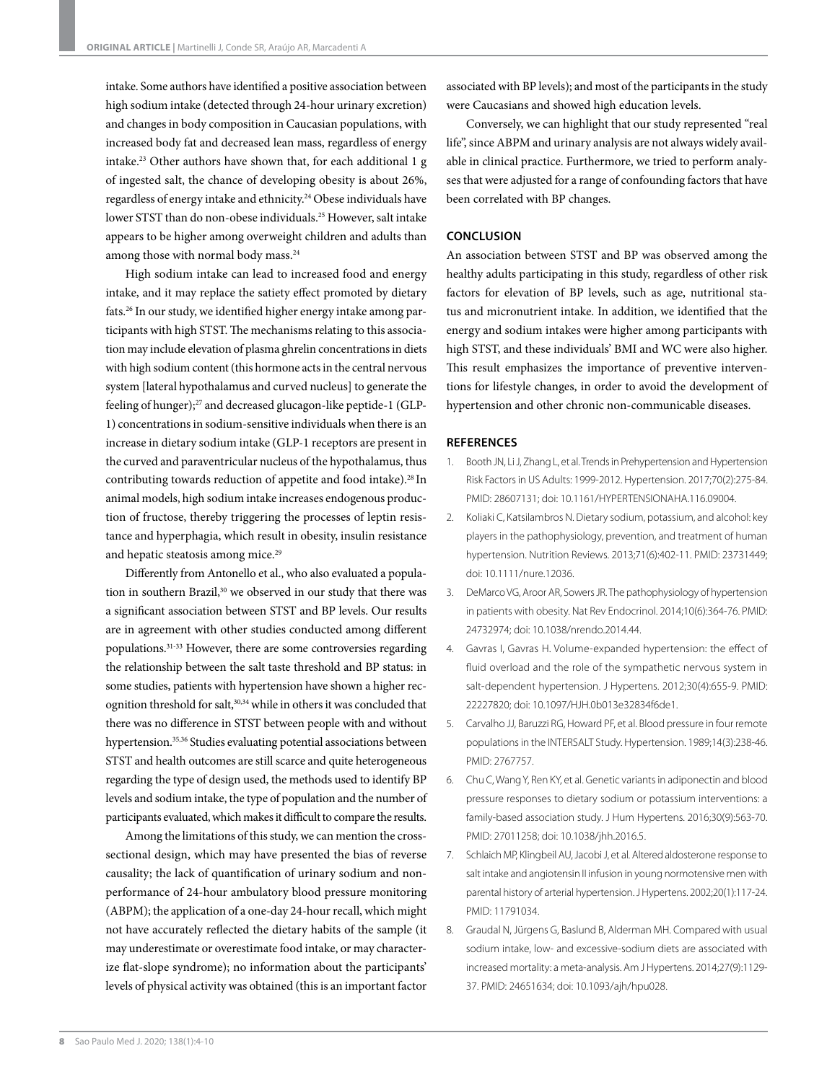intake. Some authors have identified a positive association between high sodium intake (detected through 24-hour urinary excretion) and changes in body composition in Caucasian populations, with increased body fat and decreased lean mass, regardless of energy intake.23 Other authors have shown that, for each additional 1 g of ingested salt, the chance of developing obesity is about 26%, regardless of energy intake and ethnicity.24 Obese individuals have lower STST than do non-obese individuals.25 However, salt intake appears to be higher among overweight children and adults than among those with normal body mass.<sup>24</sup>

High sodium intake can lead to increased food and energy intake, and it may replace the satiety effect promoted by dietary fats.26 In our study, we identified higher energy intake among participants with high STST. The mechanisms relating to this association may include elevation of plasma ghrelin concentrations in diets with high sodium content (this hormone acts in the central nervous system [lateral hypothalamus and curved nucleus] to generate the feeling of hunger);<sup>27</sup> and decreased glucagon-like peptide-1 (GLP-1) concentrations in sodium-sensitive individuals when there is an increase in dietary sodium intake (GLP-1 receptors are present in the curved and paraventricular nucleus of the hypothalamus, thus contributing towards reduction of appetite and food intake).28 In animal models, high sodium intake increases endogenous production of fructose, thereby triggering the processes of leptin resistance and hyperphagia, which result in obesity, insulin resistance and hepatic steatosis among mice.<sup>29</sup>

Differently from Antonello et al., who also evaluated a population in southern Brazil,<sup>30</sup> we observed in our study that there was a significant association between STST and BP levels. Our results are in agreement with other studies conducted among different populations.31-33 However, there are some controversies regarding the relationship between the salt taste threshold and BP status: in some studies, patients with hypertension have shown a higher recognition threshold for salt,<sup>30,34</sup> while in others it was concluded that there was no difference in STST between people with and without hypertension.35,36 Studies evaluating potential associations between STST and health outcomes are still scarce and quite heterogeneous regarding the type of design used, the methods used to identify BP levels and sodium intake, the type of population and the number of participants evaluated, which makes it difficult to compare the results.

Among the limitations of this study, we can mention the crosssectional design, which may have presented the bias of reverse causality; the lack of quantification of urinary sodium and nonperformance of 24-hour ambulatory blood pressure monitoring (ABPM); the application of a one-day 24-hour recall, which might not have accurately reflected the dietary habits of the sample (it may underestimate or overestimate food intake, or may characterize flat-slope syndrome); no information about the participants' levels of physical activity was obtained (this is an important factor associated with BP levels); and most of the participants in the study were Caucasians and showed high education levels.

Conversely, we can highlight that our study represented "real life", since ABPM and urinary analysis are not always widely available in clinical practice. Furthermore, we tried to perform analyses that were adjusted for a range of confounding factors that have been correlated with BP changes.

## **CONCLUSION**

An association between STST and BP was observed among the healthy adults participating in this study, regardless of other risk factors for elevation of BP levels, such as age, nutritional status and micronutrient intake. In addition, we identified that the energy and sodium intakes were higher among participants with high STST, and these individuals' BMI and WC were also higher. This result emphasizes the importance of preventive interventions for lifestyle changes, in order to avoid the development of hypertension and other chronic non-communicable diseases.

#### **REFERENCES**

- 1. Booth JN, Li J, Zhang L, et al. Trends in Prehypertension and Hypertension Risk Factors in US Adults: 1999-2012. Hypertension. 2017;70(2):275-84. PMID: 28607131; doi: 10.1161/HYPERTENSIONAHA.116.09004.
- 2. Koliaki C, Katsilambros N. Dietary sodium, potassium, and alcohol: key players in the pathophysiology, prevention, and treatment of human hypertension. Nutrition Reviews. 2013;71(6):402-11. PMID: 23731449; doi: 10.1111/nure.12036.
- 3. DeMarco VG, Aroor AR, Sowers JR. The pathophysiology of hypertension in patients with obesity. Nat Rev Endocrinol. 2014;10(6):364-76. PMID: 24732974; doi: 10.1038/nrendo.2014.44.
- 4. Gavras I, Gavras H. Volume-expanded hypertension: the effect of fluid overload and the role of the sympathetic nervous system in salt-dependent hypertension. J Hypertens. 2012;30(4):655-9. PMID: 22227820; doi: 10.1097/HJH.0b013e32834f6de1.
- 5. Carvalho JJ, Baruzzi RG, Howard PF, et al. Blood pressure in four remote populations in the INTERSALT Study. Hypertension. 1989;14(3):238-46. PMID: 2767757.
- 6. Chu C, Wang Y, Ren KY, et al. Genetic variants in adiponectin and blood pressure responses to dietary sodium or potassium interventions: a family-based association study. J Hum Hypertens. 2016;30(9):563-70. PMID: 27011258; doi: 10.1038/jhh.2016.5.
- 7. Schlaich MP, Klingbeil AU, Jacobi J, et al. Altered aldosterone response to salt intake and angiotensin II infusion in young normotensive men with parental history of arterial hypertension. J Hypertens. 2002;20(1):117-24. PMID: 11791034.
- 8. Graudal N, Jürgens G, Baslund B, Alderman MH. Compared with usual sodium intake, low- and excessive-sodium diets are associated with increased mortality: a meta-analysis. Am J Hypertens. 2014;27(9):1129- 37. PMID: 24651634; doi: 10.1093/ajh/hpu028.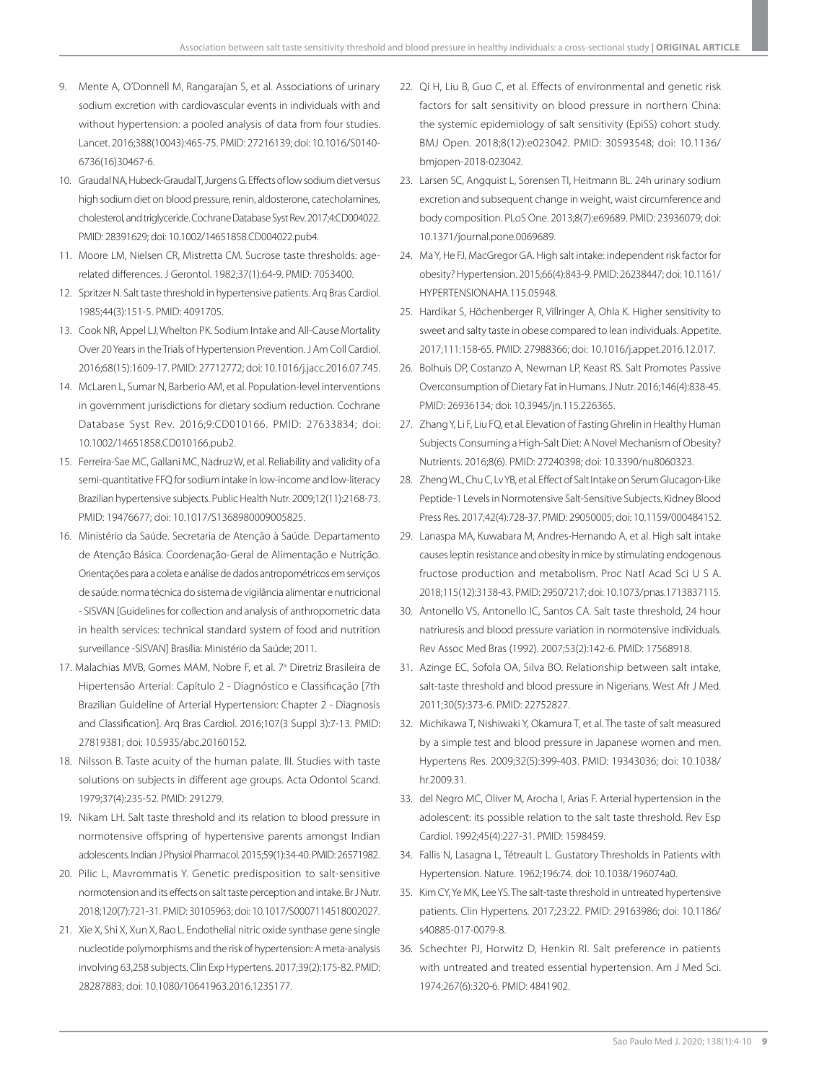- 9. Mente A, O'Donnell M, Rangarajan S, et al. Associations of urinary sodium excretion with cardiovascular events in individuals with and without hypertension: a pooled analysis of data from four studies. Lancet. 2016;388(10043):465-75. PMID: 27216139; doi: 10.1016/S0140- 6736(16)30467-6.
- 10. Graudal NA, Hubeck-Graudal T, Jurgens G. Effects of low sodium diet versus high sodium diet on blood pressure, renin, aldosterone, catecholamines, cholesterol, and triglyceride. Cochrane Database Syst Rev. 2017;4:CD004022. PMID: 28391629; doi: 10.1002/14651858.CD004022.pub4.
- 11. Moore LM, Nielsen CR, Mistretta CM. Sucrose taste thresholds: agerelated differences. J Gerontol. 1982;37(1):64-9. PMID: 7053400.
- 12. Spritzer N. Salt taste threshold in hypertensive patients. Arq Bras Cardiol. 1985;44(3):151-5. PMID: 4091705.
- 13. Cook NR, Appel LJ, Whelton PK. Sodium Intake and All-Cause Mortality Over 20 Years in the Trials of Hypertension Prevention. J Am Coll Cardiol. 2016;68(15):1609-17. PMID: 27712772; doi: 10.1016/j.jacc.2016.07.745.
- 14. McLaren L, Sumar N, Barberio AM, et al. Population-level interventions in government jurisdictions for dietary sodium reduction. Cochrane Database Syst Rev. 2016;9:CD010166. PMID: 27633834; doi: 10.1002/14651858.CD010166.pub2.
- 15. Ferreira-Sae MC, Gallani MC, Nadruz W, et al. Reliability and validity of a semi-quantitative FFQ for sodium intake in low-income and low-literacy Brazilian hypertensive subjects. Public Health Nutr. 2009;12(11):2168-73. PMID: 19476677; doi: 10.1017/S1368980009005825.
- 16. Ministério da Saúde. Secretaria de Atenção à Saúde. Departamento de Atenção Básica. Coordenação-Geral de Alimentação e Nutrição. Orientações para a coleta e análise de dados antropométricos em serviços de saúde: norma técnica do sistema de vigilância alimentar e nutricional - SISVAN [Guidelines for collection and analysis of anthropometric data in health services: technical standard system of food and nutrition surveillance -SISVAN] Brasília: Ministério da Saúde; 2011.
- 17. Malachias MVB, Gomes MAM, Nobre F, et al. 7<sup>ª</sup> Diretriz Brasileira de Hipertensão Arterial: Capítulo 2 - Diagnóstico e Classificação [7th Brazilian Guideline of Arterial Hypertension: Chapter 2 - Diagnosis and Classification]. Arq Bras Cardiol. 2016;107(3 Suppl 3):7-13. PMID: 27819381; doi: 10.5935/abc.20160152.
- 18. Nilsson B. Taste acuity of the human palate. III. Studies with taste solutions on subjects in different age groups. Acta Odontol Scand. 1979;37(4):235-52. PMID: 291279.
- 19. Nikam LH. Salt taste threshold and its relation to blood pressure in normotensive offspring of hypertensive parents amongst Indian adolescents. Indian J Physiol Pharmacol. 2015;59(1):34-40. PMID: 26571982.
- 20. Pilic L, Mavrommatis Y. Genetic predisposition to salt-sensitive normotension and its effects on salt taste perception and intake. Br J Nutr. 2018;120(7):721-31. PMID: 30105963; doi: 10.1017/S0007114518002027.
- 21. Xie X, Shi X, Xun X, Rao L. Endothelial nitric oxide synthase gene single nucleotide polymorphisms and the risk of hypertension: A meta-analysis involving 63,258 subjects. Clin Exp Hypertens. 2017;39(2):175-82. PMID: 28287883; doi: 10.1080/10641963.2016.1235177.
- 22. Qi H, Liu B, Guo C, et al. Effects of environmental and genetic risk factors for salt sensitivity on blood pressure in northern China: the systemic epidemiology of salt sensitivity (EpiSS) cohort study. BMJ Open. 2018;8(12):e023042. PMID: 30593548; doi: 10.1136/ bmjopen-2018-023042.
- 23. Larsen SC, Angquist L, Sorensen TI, Heitmann BL. 24h urinary sodium excretion and subsequent change in weight, waist circumference and body composition. PLoS One. 2013;8(7):e69689. PMID: 23936079; doi: 10.1371/journal.pone.0069689.
- 24. Ma Y, He FJ, MacGregor GA. High salt intake: independent risk factor for obesity? Hypertension. 2015;66(4):843-9. PMID: 26238447; doi: 10.1161/ HYPERTENSIONAHA.115.05948.
- 25. Hardikar S, Höchenberger R, Villringer A, Ohla K. Higher sensitivity to sweet and salty taste in obese compared to lean individuals. Appetite. 2017;111:158-65. PMID: 27988366; doi: 10.1016/j.appet.2016.12.017.
- 26. Bolhuis DP, Costanzo A, Newman LP, Keast RS. Salt Promotes Passive Overconsumption of Dietary Fat in Humans. J Nutr. 2016;146(4):838-45. PMID: 26936134; doi: 10.3945/jn.115.226365.
- 27. Zhang Y, Li F, Liu FQ, et al. Elevation of Fasting Ghrelin in Healthy Human Subjects Consuming a High-Salt Diet: A Novel Mechanism of Obesity? Nutrients. 2016;8(6). PMID: 27240398; doi: 10.3390/nu8060323.
- 28. Zheng WL, Chu C, Lv YB, et al. Effect of Salt Intake on Serum Glucagon-Like Peptide-1 Levels in Normotensive Salt-Sensitive Subjects. Kidney Blood Press Res. 2017;42(4):728-37. PMID: 29050005; doi: 10.1159/000484152.
- 29. Lanaspa MA, Kuwabara M, Andres-Hernando A, et al. High salt intake causes leptin resistance and obesity in mice by stimulating endogenous fructose production and metabolism. Proc Natl Acad Sci U S A. 2018;115(12):3138-43. PMID: 29507217; doi: 10.1073/pnas.1713837115.
- 30. Antonello VS, Antonello IC, Santos CA. Salt taste threshold, 24 hour natriuresis and blood pressure variation in normotensive individuals. Rev Assoc Med Bras (1992). 2007;53(2):142-6. PMID: 17568918.
- 31. Azinge EC, Sofola OA, Silva BO. Relationship between salt intake, salt-taste threshold and blood pressure in Nigerians. West Afr J Med. 2011;30(5):373-6. PMID: 22752827.
- 32. Michikawa T, Nishiwaki Y, Okamura T, et al. The taste of salt measured by a simple test and blood pressure in Japanese women and men. Hypertens Res. 2009;32(5):399-403. PMID: 19343036; doi: 10.1038/ hr.2009.31.
- 33. del Negro MC, Oliver M, Arocha I, Arias F. Arterial hypertension in the adolescent: its possible relation to the salt taste threshold. Rev Esp Cardiol. 1992;45(4):227-31. PMID: 1598459.
- 34. Fallis N, Lasagna L, Tétreault L. Gustatory Thresholds in Patients with Hypertension. Nature. 1962;196:74. doi: 10.1038/196074a0.
- 35. Kim CY, Ye MK, Lee YS. The salt-taste threshold in untreated hypertensive patients. Clin Hypertens. 2017;23:22. PMID: 29163986; doi: 10.1186/ s40885-017-0079-8.
- 36. Schechter PJ, Horwitz D, Henkin RI. Salt preference in patients with untreated and treated essential hypertension. Am J Med Sci. 1974;267(6):320-6. PMID: 4841902.